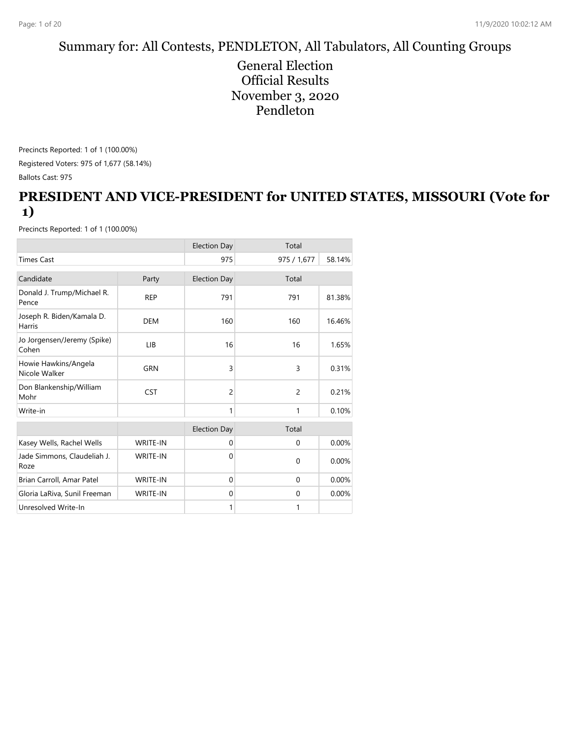# Summary for: All Contests, PENDLETON, All Tabulators, All Counting Groups

General Election Official Results November 3, 2020 Pendleton

Precincts Reported: 1 of 1 (100.00%) Registered Voters: 975 of 1,677 (58.14%) Ballots Cast: 975

#### **PRESIDENT AND VICE-PRESIDENT for UNITED STATES, MISSOURI (Vote for 1)**

|                                       |                 | <b>Election Day</b> | Total          |        |
|---------------------------------------|-----------------|---------------------|----------------|--------|
| <b>Times Cast</b>                     |                 | 975                 | 975 / 1,677    | 58.14% |
| Candidate                             | Party           | <b>Election Day</b> | Total          |        |
| Donald J. Trump/Michael R.<br>Pence   | <b>REP</b>      | 791                 | 791            | 81.38% |
| Joseph R. Biden/Kamala D.<br>Harris   | <b>DEM</b>      | 160                 | 160            | 16.46% |
| Jo Jorgensen/Jeremy (Spike)<br>Cohen  | LIB             | 16                  | 16             | 1.65%  |
| Howie Hawkins/Angela<br>Nicole Walker | GRN             | $\overline{3}$      | 3              | 0.31%  |
| Don Blankenship/William<br>Mohr       | <b>CST</b>      | 2                   | $\overline{c}$ | 0.21%  |
| Write-in                              |                 | 1                   | 1              | 0.10%  |
|                                       |                 | <b>Election Day</b> | Total          |        |
| Kasey Wells, Rachel Wells             | WRITE-IN        | $\mathbf 0$         | $\mathbf 0$    | 0.00%  |
| Jade Simmons, Claudeliah J.<br>Roze   | <b>WRITE-IN</b> | $\mathbf 0$         | $\Omega$       | 0.00%  |
| Brian Carroll, Amar Patel             | <b>WRITE-IN</b> | $\Omega$            | $\mathbf 0$    | 0.00%  |
| Gloria LaRiva, Sunil Freeman          | <b>WRITE-IN</b> | $\mathbf 0$         | $\mathbf 0$    | 0.00%  |
| Unresolved Write-In                   |                 | 1                   | 1              |        |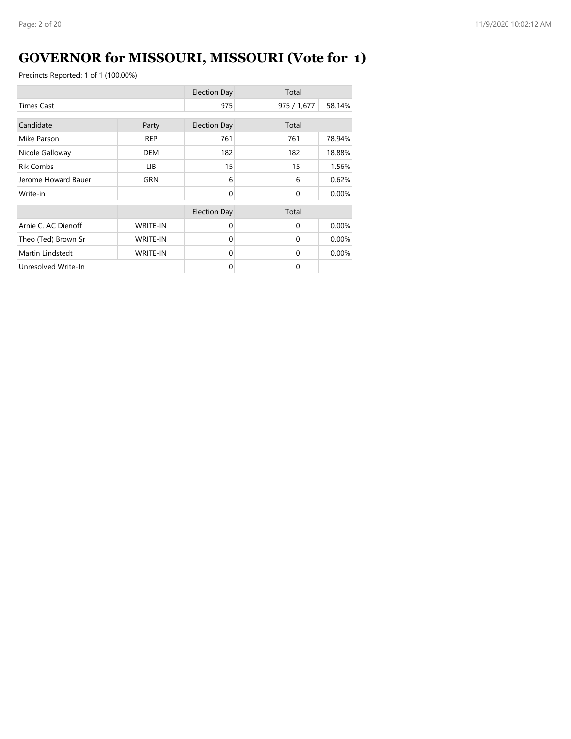# **GOVERNOR for MISSOURI, MISSOURI (Vote for 1)**

|                     |                 | <b>Election Day</b> | Total       |        |
|---------------------|-----------------|---------------------|-------------|--------|
| <b>Times Cast</b>   |                 | 975                 | 975 / 1,677 | 58.14% |
| Candidate           | Party           | <b>Election Day</b> | Total       |        |
| Mike Parson         | <b>REP</b>      | 761                 | 761         | 78.94% |
| Nicole Galloway     | <b>DEM</b>      | 182                 | 182         | 18.88% |
| <b>Rik Combs</b>    | LIB.            | 15                  | 15          | 1.56%  |
| Jerome Howard Bauer | GRN             | 6                   | 6           | 0.62%  |
| Write-in            |                 | $\Omega$            | $\Omega$    | 0.00%  |
|                     |                 | <b>Election Day</b> | Total       |        |
| Arnie C. AC Dienoff | <b>WRITE-IN</b> | $\Omega$            | $\Omega$    | 0.00%  |
| Theo (Ted) Brown Sr | <b>WRITE-IN</b> | $\Omega$            | $\Omega$    | 0.00%  |
| Martin Lindstedt    | <b>WRITE-IN</b> | $\Omega$            | $\Omega$    | 0.00%  |
| Unresolved Write-In |                 | $\Omega$            | $\Omega$    |        |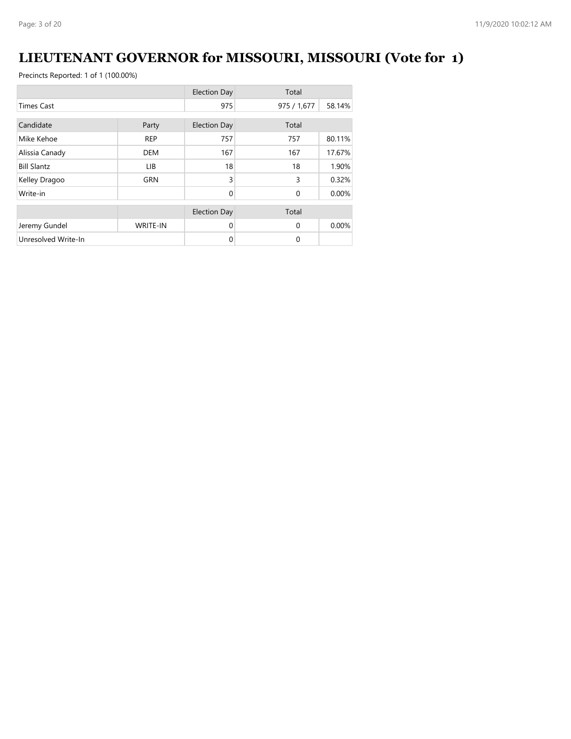# **LIEUTENANT GOVERNOR for MISSOURI, MISSOURI (Vote for 1)**

|                     |                 | <b>Election Day</b> | Total       |        |
|---------------------|-----------------|---------------------|-------------|--------|
| <b>Times Cast</b>   |                 | 975                 | 975 / 1,677 | 58.14% |
| Candidate           |                 |                     | Total       |        |
|                     | Party           | <b>Election Day</b> |             |        |
| Mike Kehoe          | <b>REP</b>      | 757                 | 757         | 80.11% |
| Alissia Canady      | <b>DEM</b>      | 167                 | 167         | 17.67% |
| <b>Bill Slantz</b>  | LIB             | 18                  | 18          | 1.90%  |
| Kelley Dragoo       | <b>GRN</b>      | 3                   | 3           | 0.32%  |
| Write-in            |                 | $\Omega$            | $\mathbf 0$ | 0.00%  |
|                     |                 | <b>Election Day</b> | Total       |        |
| Jeremy Gundel       | <b>WRITE-IN</b> | $\Omega$            | $\Omega$    | 0.00%  |
| Unresolved Write-In |                 | 0                   | 0           |        |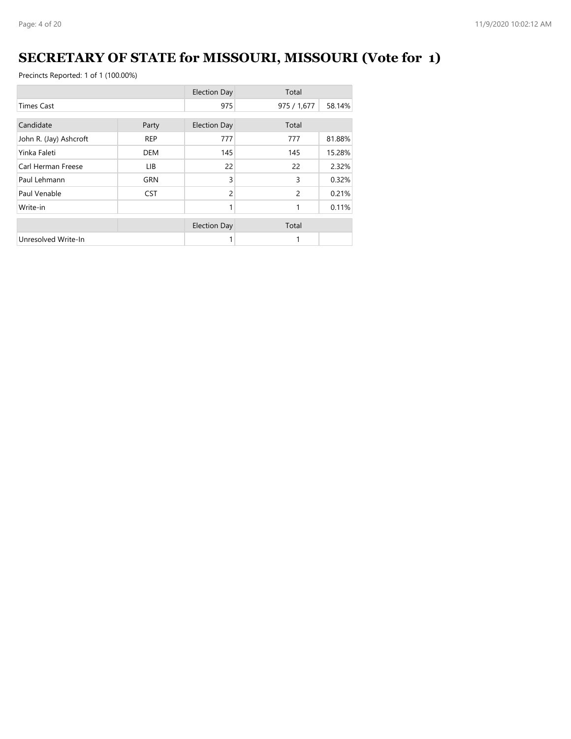# **SECRETARY OF STATE for MISSOURI, MISSOURI (Vote for 1)**

|                        |            | <b>Election Day</b> | Total          |        |
|------------------------|------------|---------------------|----------------|--------|
| <b>Times Cast</b>      |            | 975                 | 975 / 1,677    | 58.14% |
| Candidate              | Party      | <b>Election Day</b> | Total          |        |
| John R. (Jay) Ashcroft | <b>REP</b> | 777                 | 777            | 81.88% |
| Yinka Faleti           | <b>DEM</b> | 145                 | 145            | 15.28% |
| Carl Herman Freese     | LIB.       | 22                  | 22             | 2.32%  |
| Paul Lehmann           | <b>GRN</b> | 3                   | 3              | 0.32%  |
| Paul Venable           | <b>CST</b> | 2                   | $\overline{c}$ | 0.21%  |
| Write-in               |            |                     | 1              | 0.11%  |
|                        |            | <b>Election Day</b> | Total          |        |
| Unresolved Write-In    |            |                     |                |        |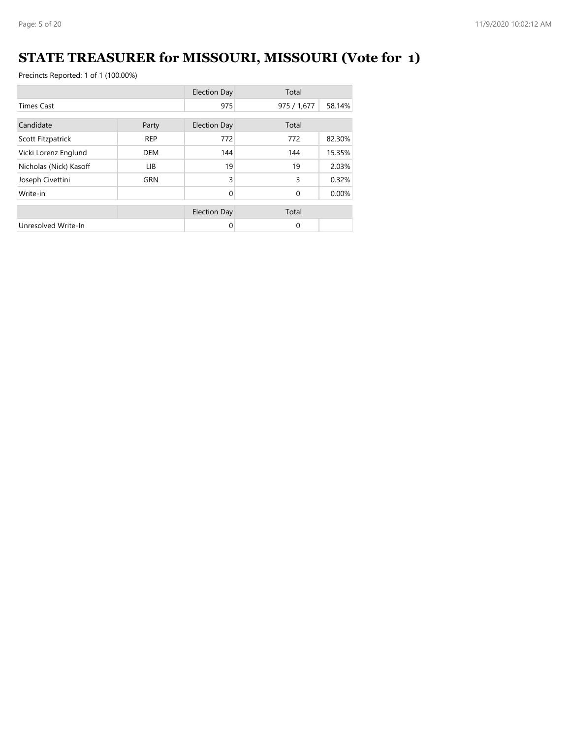# **STATE TREASURER for MISSOURI, MISSOURI (Vote for 1)**

|                        |            | <b>Election Day</b> | Total       |        |
|------------------------|------------|---------------------|-------------|--------|
| <b>Times Cast</b>      |            | 975                 | 975 / 1,677 | 58.14% |
| Candidate              | Party      | <b>Election Day</b> | Total       |        |
| Scott Fitzpatrick      | <b>REP</b> | 772                 | 772         | 82.30% |
| Vicki Lorenz Englund   | DEM        | 144                 | 144         | 15.35% |
| Nicholas (Nick) Kasoff | LIB.       | 19                  | 19          | 2.03%  |
| Joseph Civettini       | <b>GRN</b> | 3                   | 3           | 0.32%  |
| Write-in               |            | $\Omega$            | $\mathbf 0$ | 0.00%  |
|                        |            | <b>Election Day</b> | Total       |        |
| Unresolved Write-In    |            | $\Omega$            | $\Omega$    |        |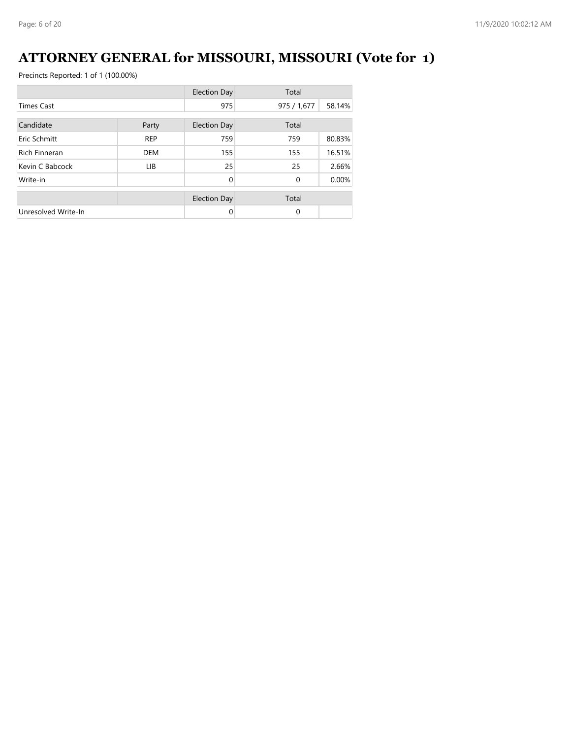# **ATTORNEY GENERAL for MISSOURI, MISSOURI (Vote for 1)**

|                      |            | <b>Election Day</b> | Total       |        |
|----------------------|------------|---------------------|-------------|--------|
| <b>Times Cast</b>    |            | 975                 | 975 / 1,677 | 58.14% |
| Candidate            | Party      | <b>Election Day</b> | Total       |        |
| Eric Schmitt         | <b>REP</b> | 759                 | 759         | 80.83% |
| <b>Rich Finneran</b> | <b>DEM</b> | 155                 | 155         | 16.51% |
| Kevin C Babcock      | LIB.       | 25                  | 25          | 2.66%  |
| Write-in             |            | $\Omega$            | $\mathbf 0$ | 0.00%  |
|                      |            | <b>Election Day</b> | Total       |        |
| Unresolved Write-In  |            | $\Omega$            | $\Omega$    |        |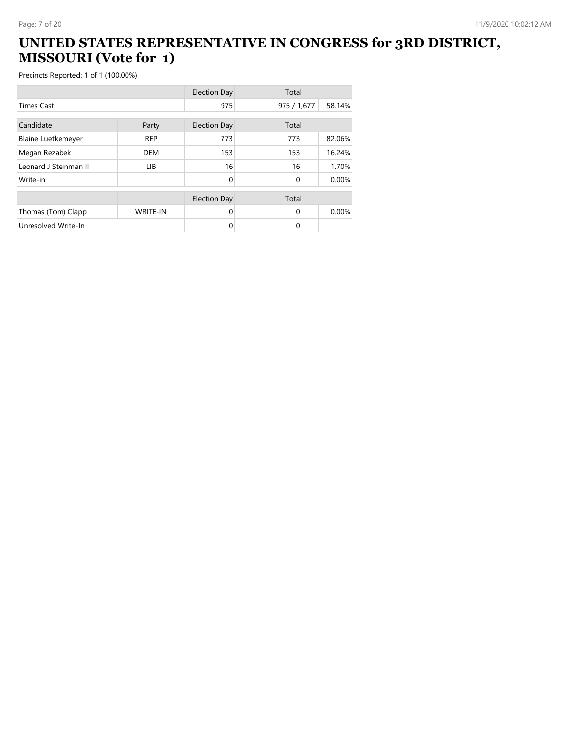#### **UNITED STATES REPRESENTATIVE IN CONGRESS for 3RD DISTRICT, MISSOURI (Vote for 1)**

|                           |                 | <b>Election Day</b> | Total       |        |
|---------------------------|-----------------|---------------------|-------------|--------|
| <b>Times Cast</b>         |                 | 975                 | 975 / 1,677 | 58.14% |
| Candidate                 | Party           | <b>Election Day</b> | Total       |        |
| <b>Blaine Luetkemeyer</b> | <b>REP</b>      | 773                 | 773         | 82.06% |
| Megan Rezabek             | <b>DEM</b>      | 153                 | 153         | 16.24% |
| Leonard J Steinman II     | <b>LIB</b>      | 16                  | 16          | 1.70%  |
| Write-in                  |                 | $\Omega$            | $\Omega$    | 0.00%  |
|                           |                 | <b>Election Day</b> | Total       |        |
| Thomas (Tom) Clapp        | <b>WRITE-IN</b> | 0                   | $\Omega$    | 0.00%  |
| Unresolved Write-In       |                 | 0                   | $\Omega$    |        |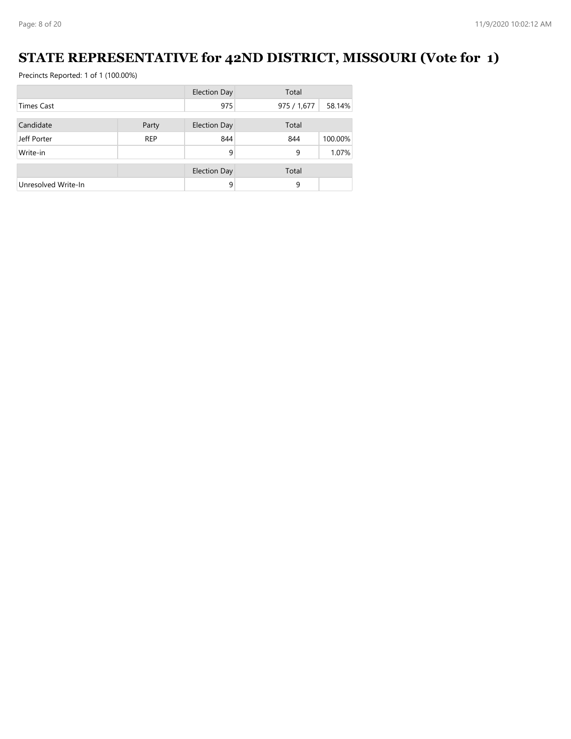#### **STATE REPRESENTATIVE for 42ND DISTRICT, MISSOURI (Vote for 1)**

|                     |            | <b>Election Day</b> | Total       |         |
|---------------------|------------|---------------------|-------------|---------|
| <b>Times Cast</b>   |            | 975                 | 975 / 1,677 | 58.14%  |
| Candidate           | Party      | <b>Election Day</b> | Total       |         |
|                     |            |                     |             |         |
| Jeff Porter         | <b>REP</b> | 844                 | 844         | 100.00% |
| Write-in            |            | 9                   | 9           | 1.07%   |
|                     |            |                     |             |         |
|                     |            | <b>Election Day</b> | Total       |         |
| Unresolved Write-In |            | 9                   | 9           |         |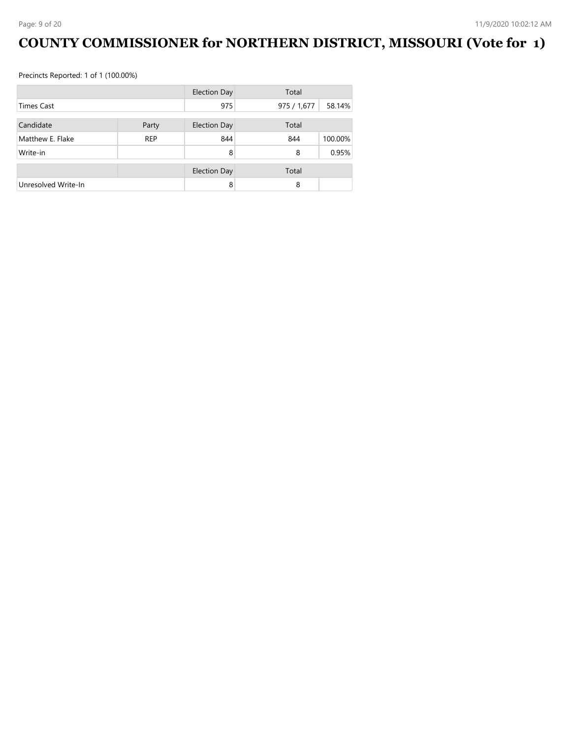# **COUNTY COMMISSIONER for NORTHERN DISTRICT, MISSOURI (Vote for 1)**

|                     |            | <b>Election Day</b> | Total       |         |
|---------------------|------------|---------------------|-------------|---------|
| <b>Times Cast</b>   |            | 975                 | 975 / 1,677 | 58.14%  |
| Candidate           | Party      | <b>Election Day</b> | Total       |         |
| Matthew E. Flake    | <b>REP</b> | 844                 | 844         | 100.00% |
| Write-in            |            | 8                   | 8           | 0.95%   |
|                     |            |                     |             |         |
|                     |            | <b>Election Day</b> | Total       |         |
| Unresolved Write-In |            | 8                   | 8           |         |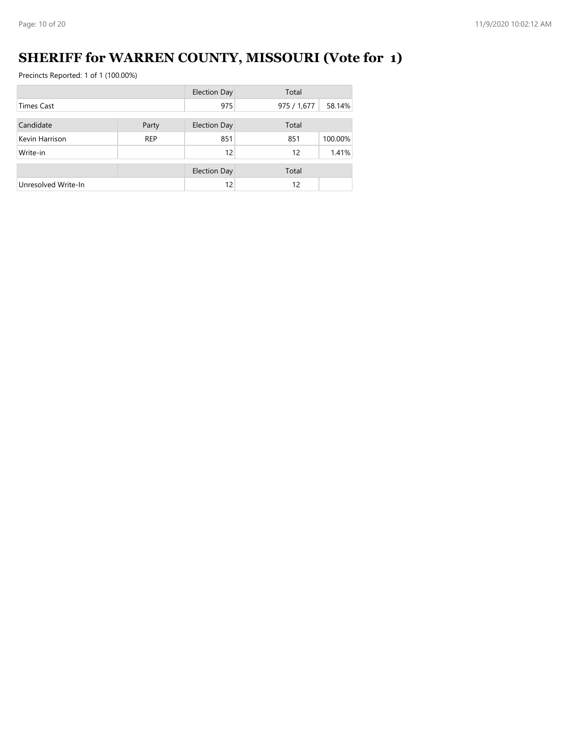# **SHERIFF for WARREN COUNTY, MISSOURI (Vote for 1)**

|                     |            | <b>Election Day</b> | Total       |         |
|---------------------|------------|---------------------|-------------|---------|
| <b>Times Cast</b>   |            | 975                 | 975 / 1,677 | 58.14%  |
| Candidate           |            | <b>Election Day</b> | Total       |         |
|                     | Party      |                     |             |         |
| Kevin Harrison      | <b>REP</b> | 851                 | 851         | 100.00% |
| Write-in            |            | 12                  | 12          | 1.41%   |
|                     |            |                     |             |         |
|                     |            | <b>Election Day</b> | Total       |         |
| Unresolved Write-In |            | 12                  | 12          |         |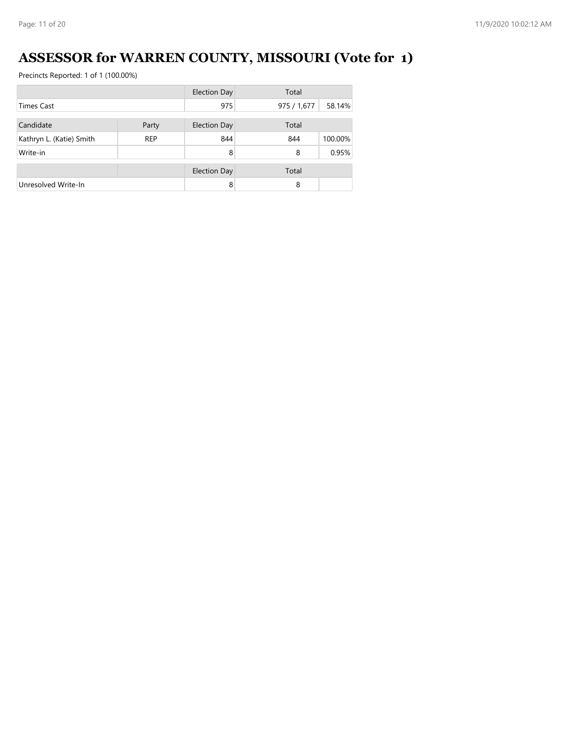# **ASSESSOR for WARREN COUNTY, MISSOURI (Vote for 1)**

|                          |            | <b>Election Day</b> | Total       |         |
|--------------------------|------------|---------------------|-------------|---------|
| <b>Times Cast</b>        |            | 975                 | 975 / 1,677 | 58.14%  |
| Candidate                | Party      | <b>Election Day</b> | Total       |         |
|                          |            |                     |             |         |
| Kathryn L. (Katie) Smith | <b>REP</b> | 844                 | 844         | 100.00% |
| Write-in                 |            | 8                   | 8           | 0.95%   |
|                          |            | <b>Election Day</b> | Total       |         |
| Unresolved Write-In      |            | 8                   | 8           |         |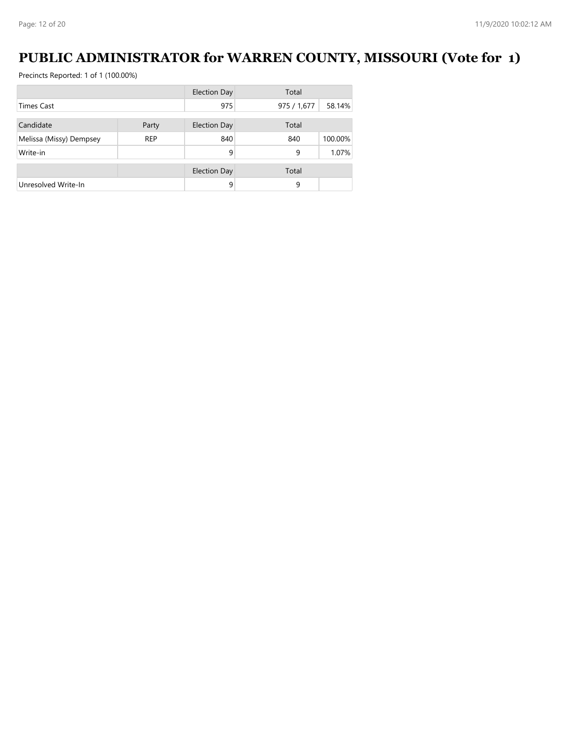#### **PUBLIC ADMINISTRATOR for WARREN COUNTY, MISSOURI (Vote for 1)**

|                         |            | <b>Election Day</b> | Total       |         |
|-------------------------|------------|---------------------|-------------|---------|
| <b>Times Cast</b>       |            | 975                 | 975 / 1,677 | 58.14%  |
|                         |            |                     |             |         |
| Candidate               | Party      | <b>Election Day</b> | Total       |         |
| Melissa (Missy) Dempsey | <b>REP</b> | 840                 | 840         | 100.00% |
| Write-in                |            | 9                   | 9           | 1.07%   |
|                         |            | <b>Election Day</b> | Total       |         |
|                         |            |                     |             |         |
| Unresolved Write-In     |            | 9                   | 9           |         |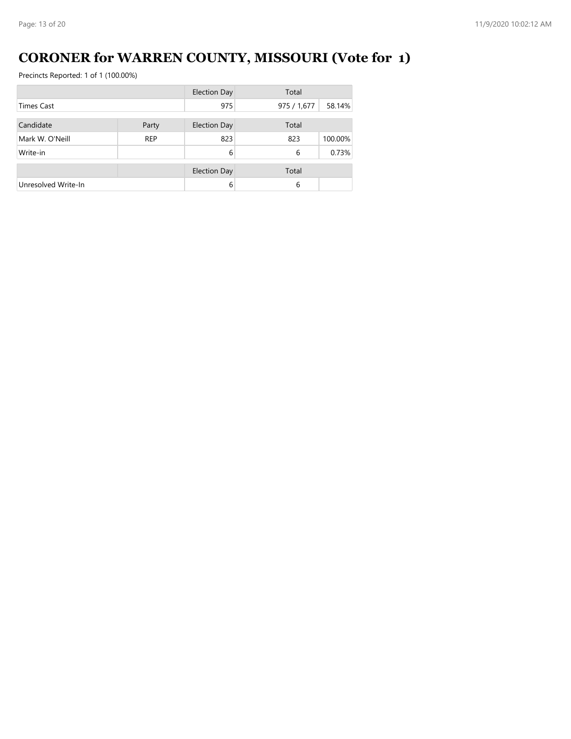# **CORONER for WARREN COUNTY, MISSOURI (Vote for 1)**

|                     |            | <b>Election Day</b> | Total       |         |
|---------------------|------------|---------------------|-------------|---------|
| <b>Times Cast</b>   |            | 975                 | 975 / 1,677 | 58.14%  |
| Candidate           | Party      | <b>Election Day</b> | Total       |         |
|                     |            |                     |             |         |
| Mark W. O'Neill     | <b>REP</b> | 823                 | 823         | 100.00% |
| Write-in            |            | 6                   | 6           | 0.73%   |
|                     |            | <b>Election Day</b> | Total       |         |
| Unresolved Write-In |            | 6                   | 6           |         |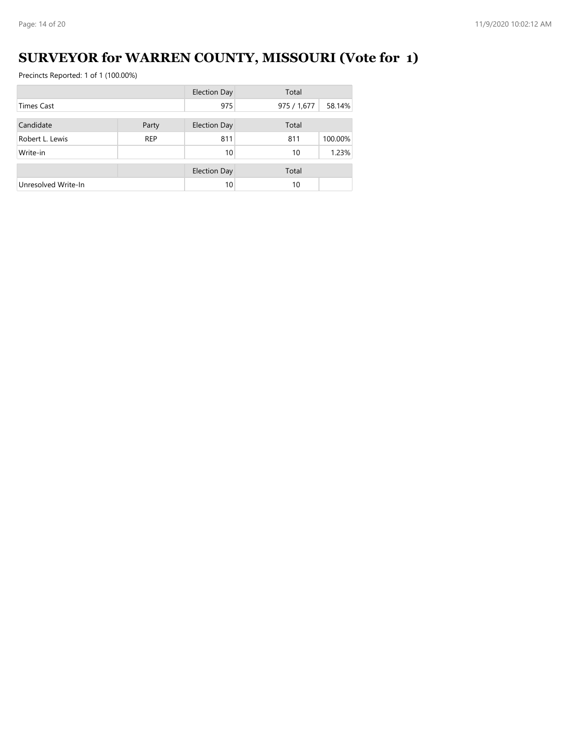# **SURVEYOR for WARREN COUNTY, MISSOURI (Vote for 1)**

|                     |            | <b>Election Day</b> | Total       |         |
|---------------------|------------|---------------------|-------------|---------|
| <b>Times Cast</b>   |            | 975                 | 975 / 1,677 | 58.14%  |
| Candidate           | Party      | <b>Election Day</b> | Total       |         |
| Robert L. Lewis     | <b>REP</b> | 811                 | 811         | 100.00% |
| Write-in            |            | 10                  | 10          | 1.23%   |
|                     |            |                     |             |         |
|                     |            | <b>Election Day</b> | Total       |         |
| Unresolved Write-In |            | 10                  | 10          |         |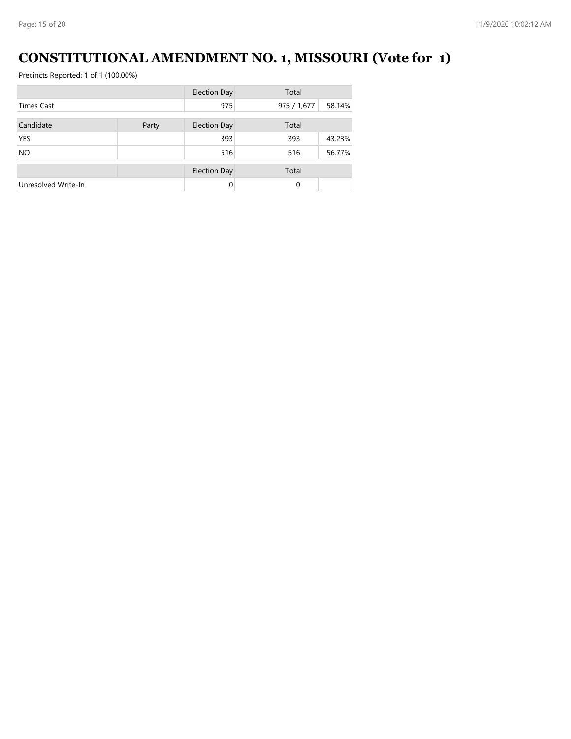#### **CONSTITUTIONAL AMENDMENT NO. 1, MISSOURI (Vote for 1)**

|                     |       | <b>Election Day</b> | Total       |        |
|---------------------|-------|---------------------|-------------|--------|
| <b>Times Cast</b>   |       | 975                 | 975 / 1,677 | 58.14% |
| Candidate           | Party | <b>Election Day</b> | Total       |        |
| <b>YES</b>          |       | 393                 | 393         | 43.23% |
| <b>NO</b>           |       | 516                 | 516         | 56.77% |
|                     |       | <b>Election Day</b> | Total       |        |
| Unresolved Write-In |       | $\Omega$            | 0           |        |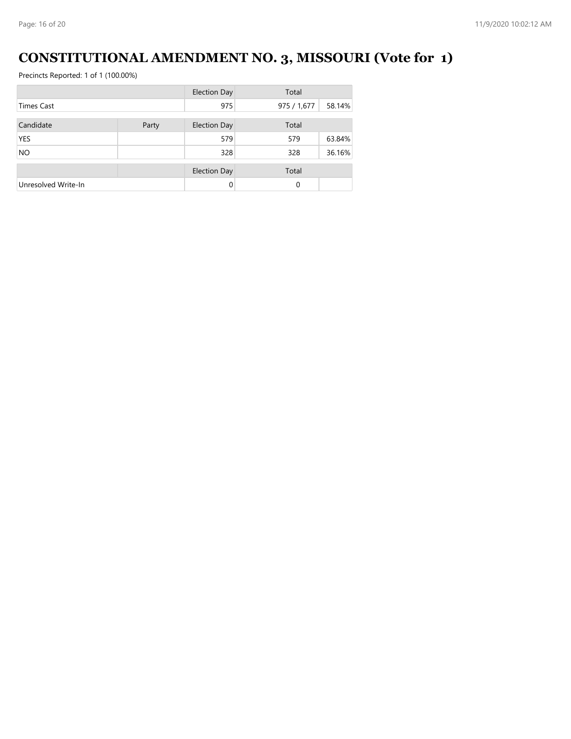# **CONSTITUTIONAL AMENDMENT NO. 3, MISSOURI (Vote for 1)**

|                     |       | <b>Election Day</b> | Total       |        |
|---------------------|-------|---------------------|-------------|--------|
| <b>Times Cast</b>   |       | 975                 | 975 / 1,677 | 58.14% |
| Candidate           | Party | <b>Election Day</b> | Total       |        |
| <b>YES</b>          |       | 579                 | 579         | 63.84% |
| <b>NO</b>           |       | 328                 | 328         | 36.16% |
|                     |       | <b>Election Day</b> | Total       |        |
| Unresolved Write-In |       | $\Omega$            | 0           |        |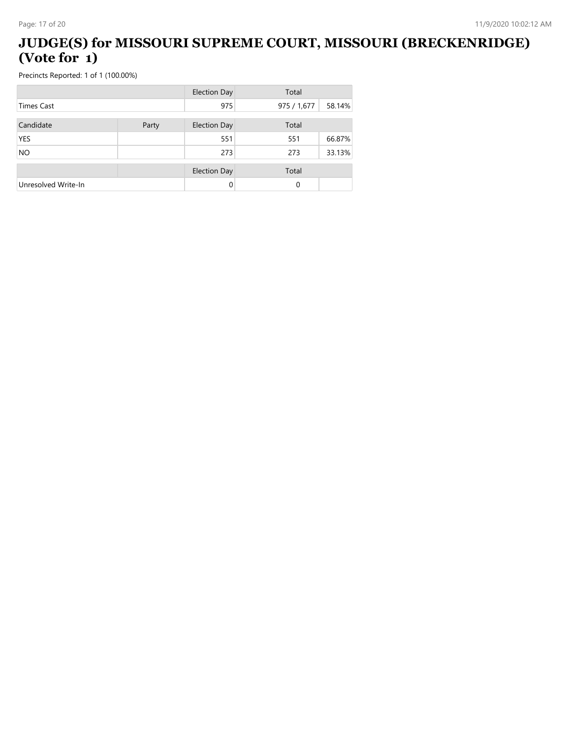#### **JUDGE(S) for MISSOURI SUPREME COURT, MISSOURI (BRECKENRIDGE) (Vote for 1)**

|                     |       | <b>Election Day</b> | Total       |        |
|---------------------|-------|---------------------|-------------|--------|
| <b>Times Cast</b>   |       | 975                 | 975 / 1,677 | 58.14% |
| Candidate           | Party | <b>Election Day</b> | Total       |        |
| <b>YES</b>          |       | 551                 | 551         | 66.87% |
| <b>NO</b>           |       | 273                 | 273         | 33.13% |
|                     |       |                     |             |        |
|                     |       | <b>Election Day</b> | Total       |        |
| Unresolved Write-In |       | 0                   | 0           |        |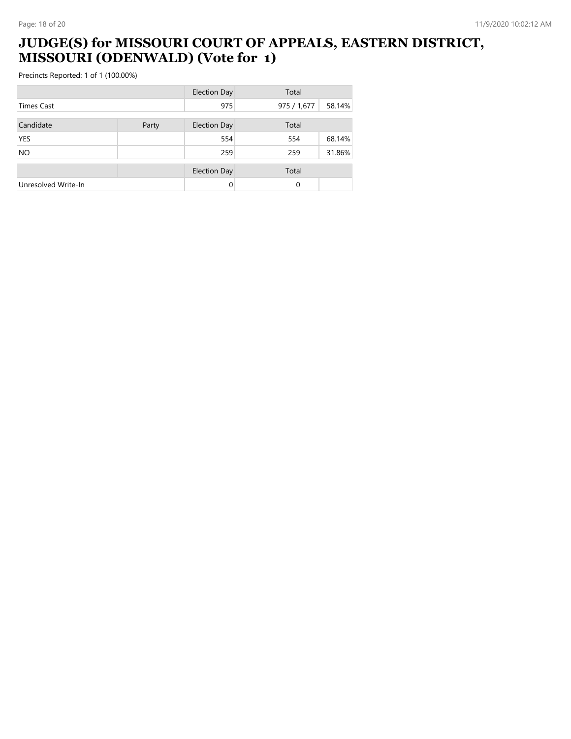#### **JUDGE(S) for MISSOURI COURT OF APPEALS, EASTERN DISTRICT, MISSOURI (ODENWALD) (Vote for 1)**

|                     |       | <b>Election Day</b> | Total       |        |
|---------------------|-------|---------------------|-------------|--------|
| <b>Times Cast</b>   |       | 975                 | 975 / 1,677 | 58.14% |
| Candidate           | Party | <b>Election Day</b> | Total       |        |
| <b>YES</b>          |       | 554                 | 554         | 68.14% |
| <b>NO</b>           |       | 259                 | 259         | 31.86% |
|                     |       | <b>Election Day</b> | Total       |        |
| Unresolved Write-In |       | $\Omega$            | 0           |        |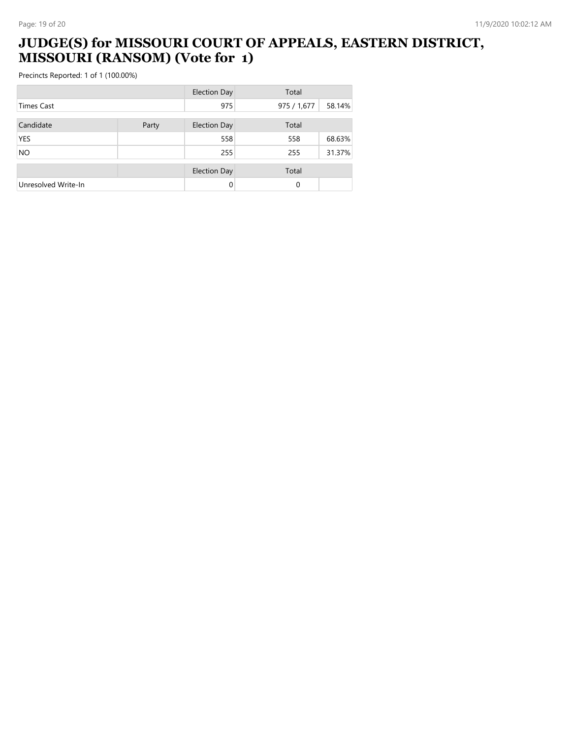#### **JUDGE(S) for MISSOURI COURT OF APPEALS, EASTERN DISTRICT, MISSOURI (RANSOM) (Vote for 1)**

|                     |       | <b>Election Day</b> | Total       |        |
|---------------------|-------|---------------------|-------------|--------|
| <b>Times Cast</b>   |       | 975                 | 975 / 1,677 | 58.14% |
| Candidate           | Party | <b>Election Day</b> | Total       |        |
| <b>YES</b>          |       | 558                 | 558         | 68.63% |
| <b>NO</b>           |       | 255                 | 255         | 31.37% |
|                     |       | <b>Election Day</b> | Total       |        |
| Unresolved Write-In |       | $\Omega$            | 0           |        |